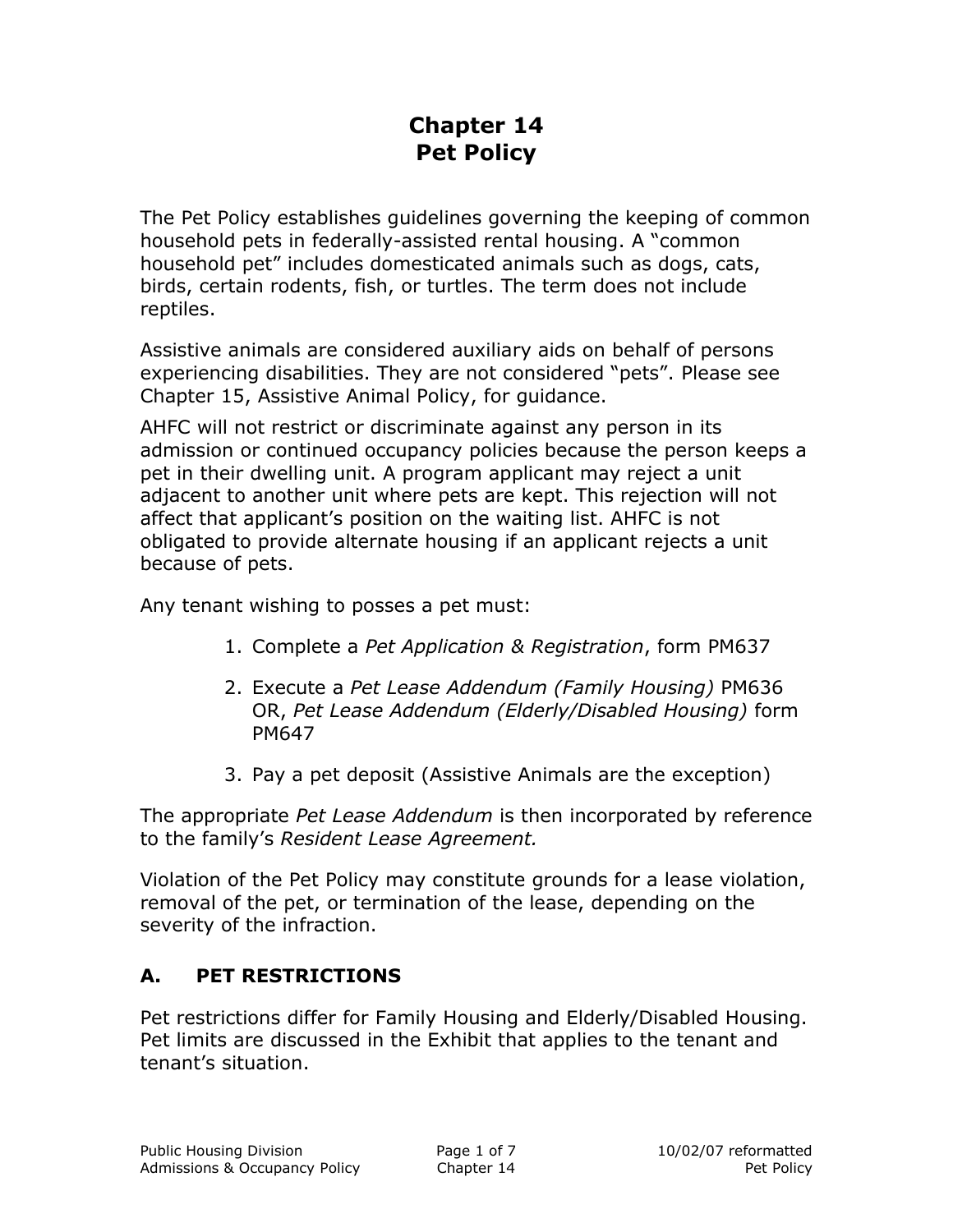# **Chapter 14 Pet Policy**

The Pet Policy establishes guidelines governing the keeping of common household pets in federally-assisted rental housing. A "common household pet" includes domesticated animals such as dogs, cats, birds, certain rodents, fish, or turtles. The term does not include reptiles.

Assistive animals are considered auxiliary aids on behalf of persons experiencing disabilities. They are not considered "pets". Please see Chapter 15, Assistive Animal Policy, for guidance.

AHFC will not restrict or discriminate against any person in its admission or continued occupancy policies because the person keeps a pet in their dwelling unit. A program applicant may reject a unit adjacent to another unit where pets are kept. This rejection will not affect that applicant's position on the waiting list. AHFC is not obligated to provide alternate housing if an applicant rejects a unit because of pets.

Any tenant wishing to posses a pet must:

- 1. Complete a *Pet Application & Registration*, form PM637
- 2. Execute a *Pet Lease Addendum (Family Housing)* PM636 OR, *Pet Lease Addendum (Elderly/Disabled Housing)* form PM647
- 3. Pay a pet deposit (Assistive Animals are the exception)

The appropriate *Pet Lease Addendum* is then incorporated by reference to the family's *Resident Lease Agreement.*

Violation of the Pet Policy may constitute grounds for a lease violation, removal of the pet, or termination of the lease, depending on the severity of the infraction.

#### **A. PET RESTRICTIONS**

Pet restrictions differ for Family Housing and Elderly/Disabled Housing. Pet limits are discussed in the Exhibit that applies to the tenant and tenant's situation.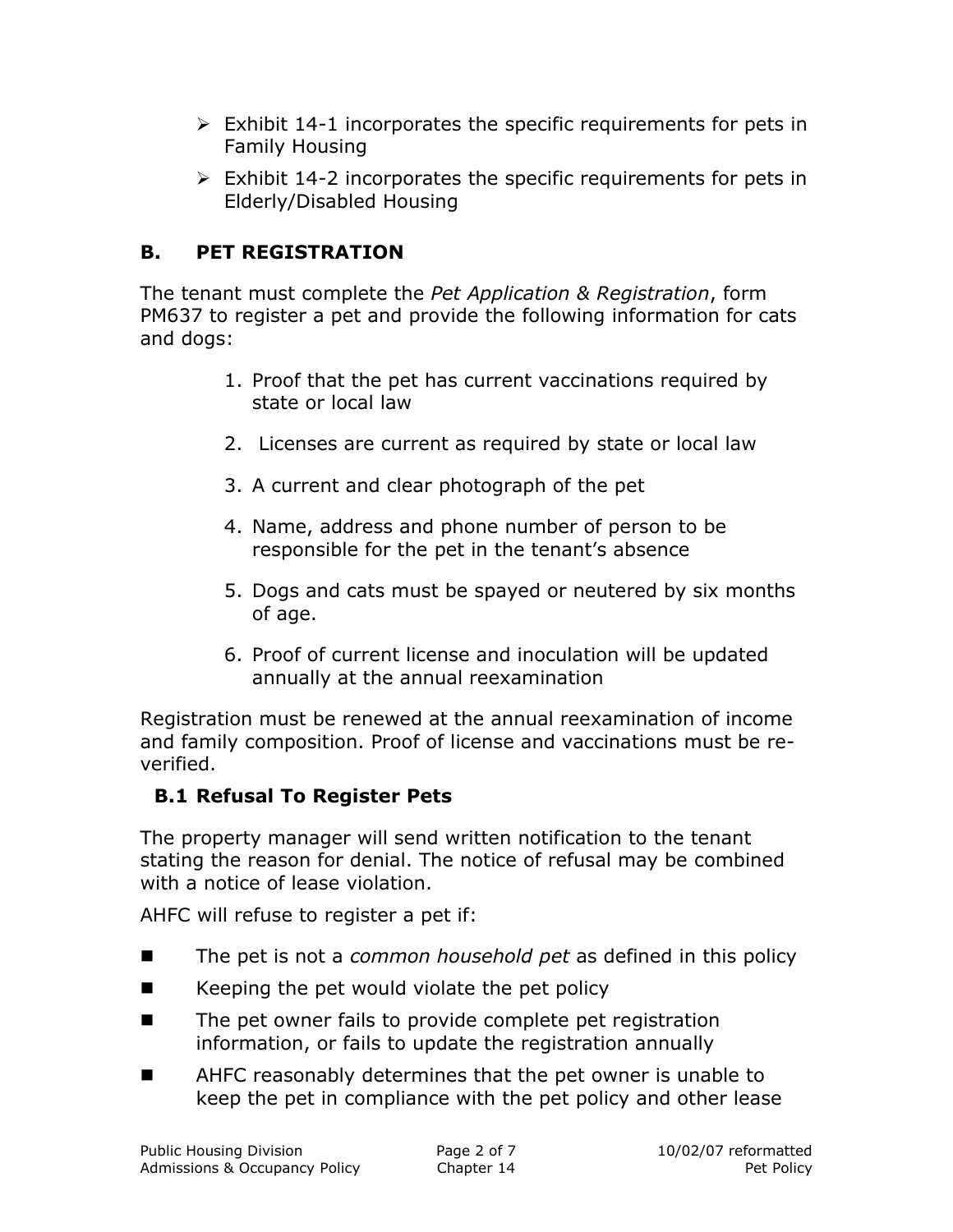- $\triangleright$  Exhibit 14-1 incorporates the specific requirements for pets in Family Housing
- $\triangleright$  Exhibit 14-2 incorporates the specific requirements for pets in Elderly/Disabled Housing

### **B. PET REGISTRATION**

The tenant must complete the *Pet Application & Registration*, form PM637 to register a pet and provide the following information for cats and dogs:

- 1. Proof that the pet has current vaccinations required by state or local law
- 2. Licenses are current as required by state or local law
- 3. A current and clear photograph of the pet
- 4. Name, address and phone number of person to be responsible for the pet in the tenant's absence
- 5. Dogs and cats must be spayed or neutered by six months of age.
- 6. Proof of current license and inoculation will be updated annually at the annual reexamination

Registration must be renewed at the annual reexamination of income and family composition. Proof of license and vaccinations must be reverified.

#### **B.1 Refusal To Register Pets**

The property manager will send written notification to the tenant stating the reason for denial. The notice of refusal may be combined with a notice of lease violation.

AHFC will refuse to register a pet if:

- The pet is not a *common household pet* as defined in this policy
- $\blacksquare$  Keeping the pet would violate the pet policy
- The pet owner fails to provide complete pet registration information, or fails to update the registration annually
- AHFC reasonably determines that the pet owner is unable to keep the pet in compliance with the pet policy and other lease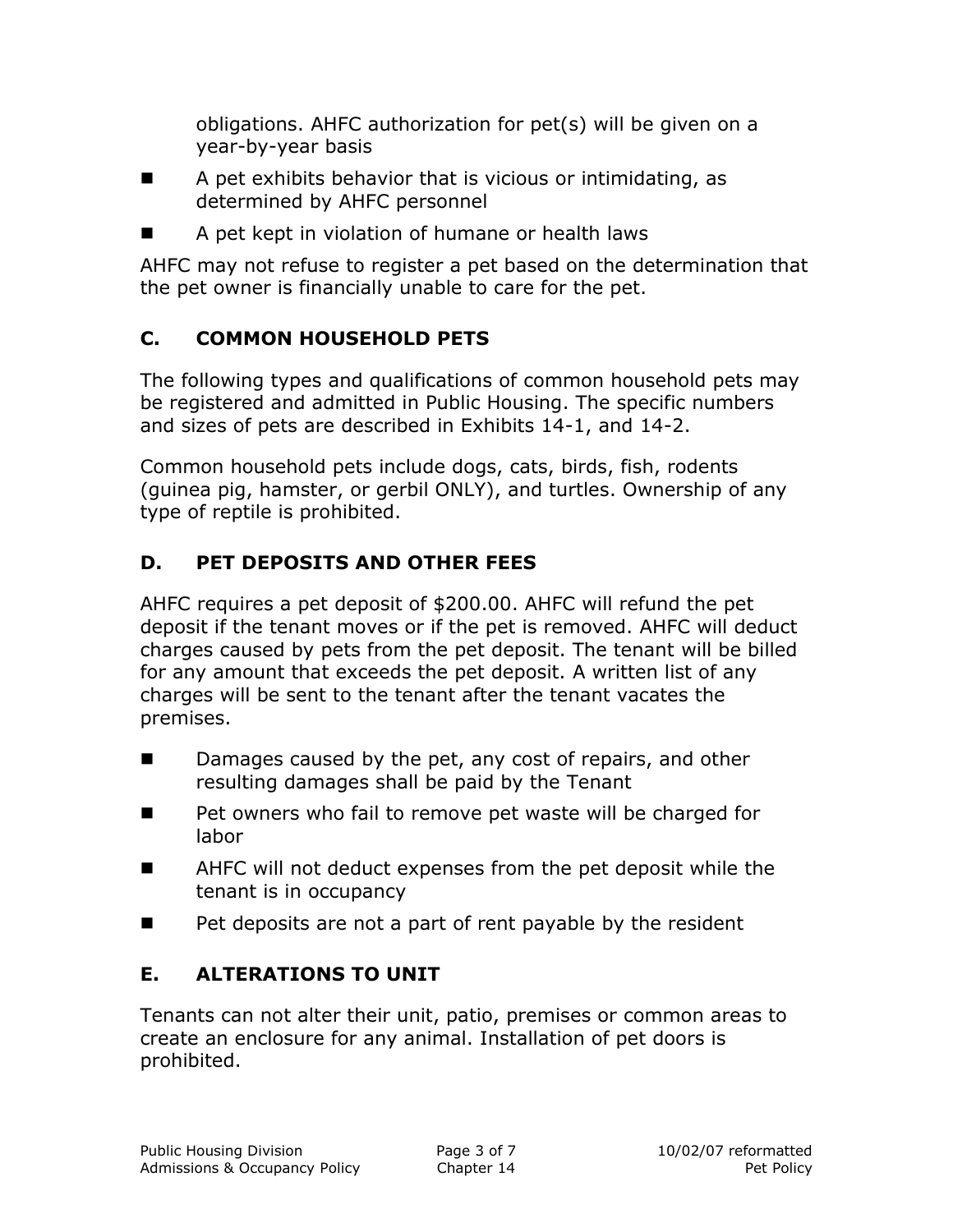obligations. AHFC authorization for pet(s) will be given on a year-by-year basis

- $\blacksquare$  A pet exhibits behavior that is vicious or intimidating, as determined by AHFC personnel
- A pet kept in violation of humane or health laws

AHFC may not refuse to register a pet based on the determination that the pet owner is financially unable to care for the pet.

### **C. COMMON HOUSEHOLD PETS**

The following types and qualifications of common household pets may be registered and admitted in Public Housing. The specific numbers and sizes of pets are described in Exhibits 14-1, and 14-2.

Common household pets include dogs, cats, birds, fish, rodents (guinea pig, hamster, or gerbil ONLY), and turtles. Ownership of any type of reptile is prohibited.

## **D. PET DEPOSITS AND OTHER FEES**

AHFC requires a pet deposit of \$200.00. AHFC will refund the pet deposit if the tenant moves or if the pet is removed. AHFC will deduct charges caused by pets from the pet deposit. The tenant will be billed for any amount that exceeds the pet deposit. A written list of any charges will be sent to the tenant after the tenant vacates the premises.

- Damages caused by the pet, any cost of repairs, and other resulting damages shall be paid by the Tenant
- Pet owners who fail to remove pet waste will be charged for labor
- AHFC will not deduct expenses from the pet deposit while the tenant is in occupancy
- $\blacksquare$  Pet deposits are not a part of rent payable by the resident

### **E. ALTERATIONS TO UNIT**

Tenants can not alter their unit, patio, premises or common areas to create an enclosure for any animal. Installation of pet doors is prohibited.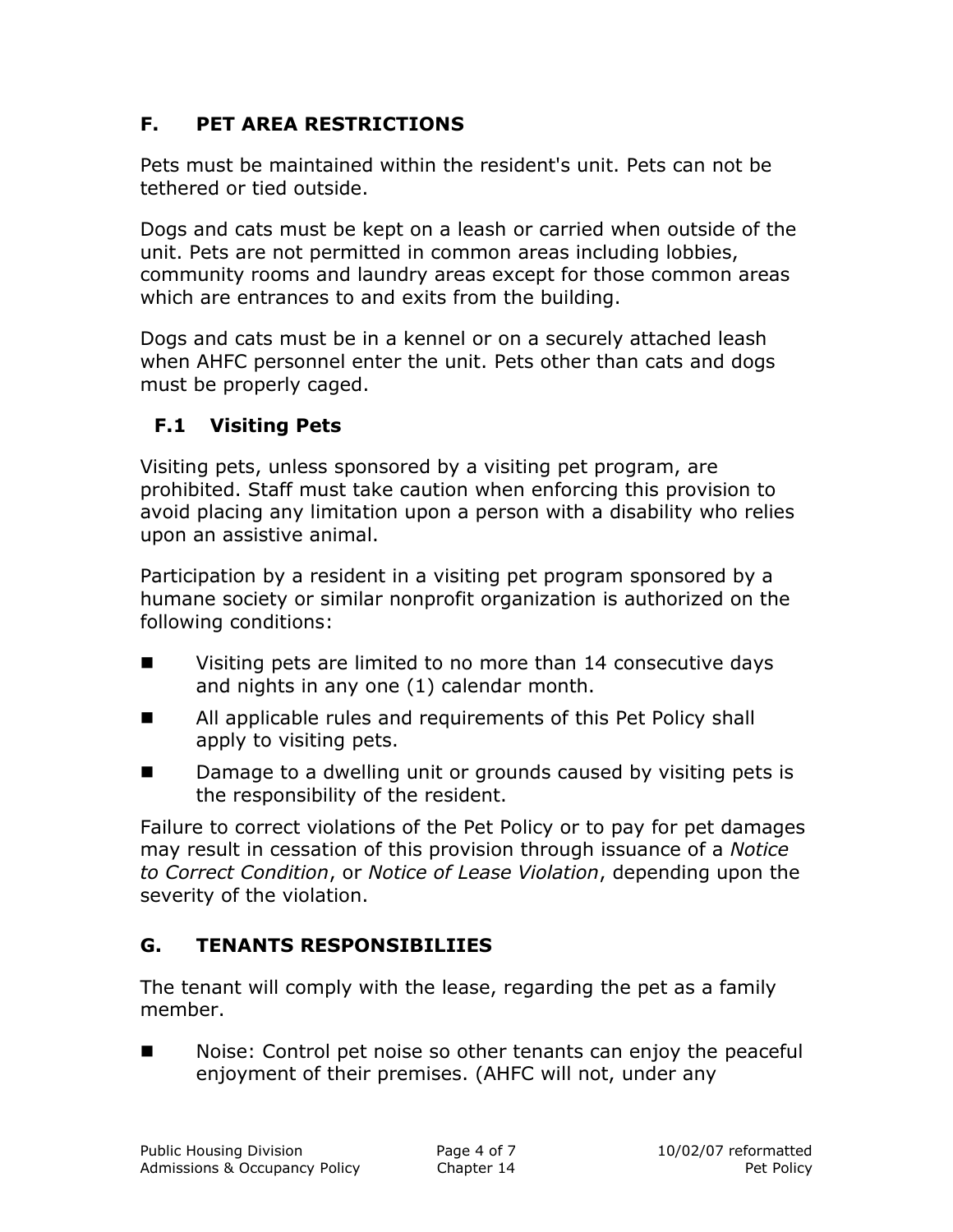### **F. PET AREA RESTRICTIONS**

Pets must be maintained within the resident's unit. Pets can not be tethered or tied outside.

Dogs and cats must be kept on a leash or carried when outside of the unit. Pets are not permitted in common areas including lobbies, community rooms and laundry areas except for those common areas which are entrances to and exits from the building.

Dogs and cats must be in a kennel or on a securely attached leash when AHFC personnel enter the unit. Pets other than cats and dogs must be properly caged.

#### **F.1 Visiting Pets**

Visiting pets, unless sponsored by a visiting pet program, are prohibited. Staff must take caution when enforcing this provision to avoid placing any limitation upon a person with a disability who relies upon an assistive animal.

Participation by a resident in a visiting pet program sponsored by a humane society or similar nonprofit organization is authorized on the following conditions:

- **EXECUTE:** Visiting pets are limited to no more than 14 consecutive days and nights in any one (1) calendar month.
- All applicable rules and requirements of this Pet Policy shall apply to visiting pets.
- Damage to a dwelling unit or grounds caused by visiting pets is the responsibility of the resident.

Failure to correct violations of the Pet Policy or to pay for pet damages may result in cessation of this provision through issuance of a *Notice to Correct Condition*, or *Notice of Lease Violation*, depending upon the severity of the violation.

#### **G. TENANTS RESPONSIBILIIES**

The tenant will comply with the lease, regarding the pet as a family member.

Noise: Control pet noise so other tenants can enjoy the peaceful enjoyment of their premises. (AHFC will not, under any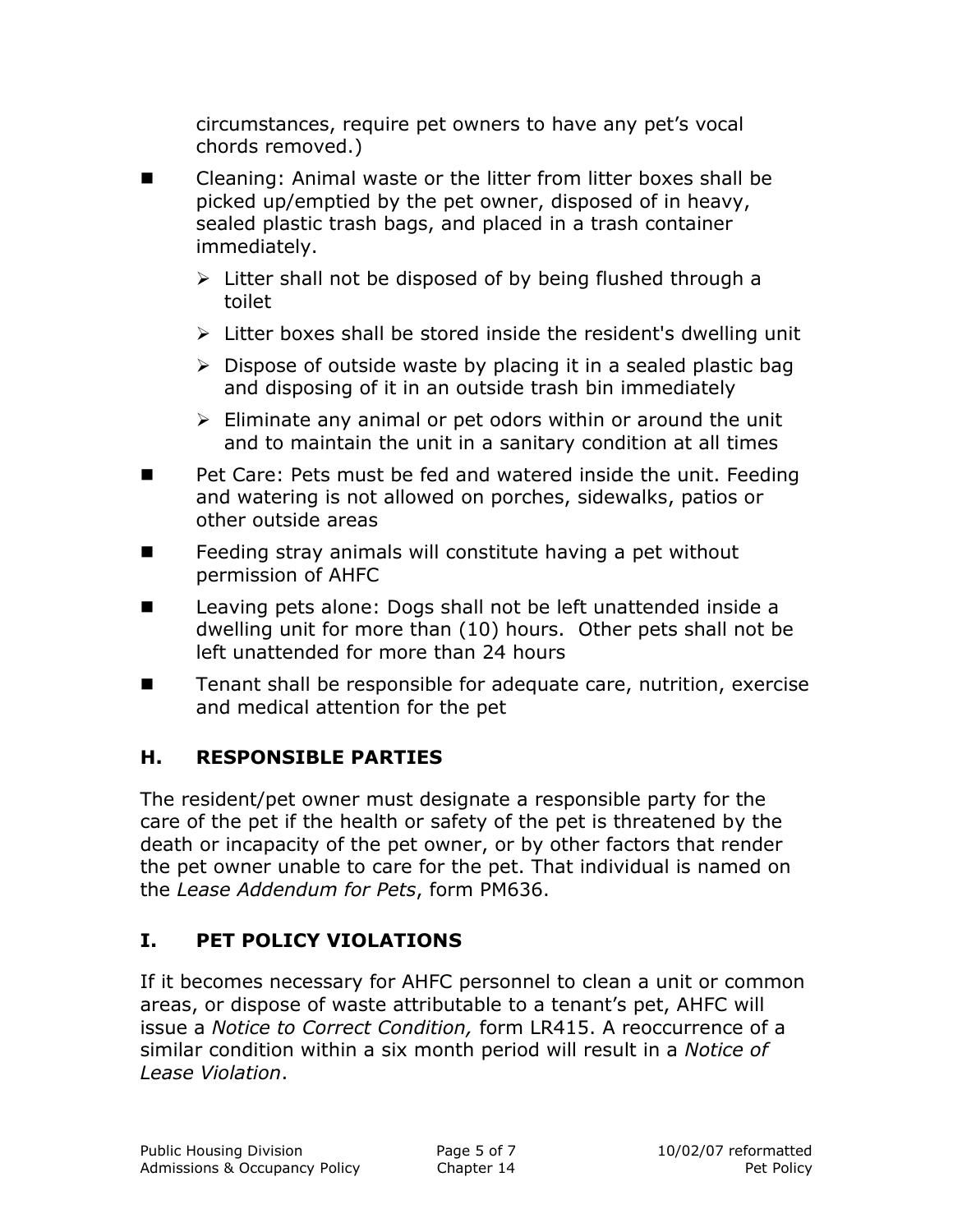circumstances, require pet owners to have any pet's vocal chords removed.)

- Cleaning: Animal waste or the litter from litter boxes shall be picked up/emptied by the pet owner, disposed of in heavy, sealed plastic trash bags, and placed in a trash container immediately.
	- $\triangleright$  Litter shall not be disposed of by being flushed through a toilet
	- $\triangleright$  Litter boxes shall be stored inside the resident's dwelling unit
	- $\triangleright$  Dispose of outside waste by placing it in a sealed plastic bag and disposing of it in an outside trash bin immediately
	- $\triangleright$  Eliminate any animal or pet odors within or around the unit and to maintain the unit in a sanitary condition at all times
- Pet Care: Pets must be fed and watered inside the unit. Feeding and watering is not allowed on porches, sidewalks, patios or other outside areas
- $\blacksquare$  Feeding stray animals will constitute having a pet without permission of AHFC
- Leaving pets alone: Dogs shall not be left unattended inside a dwelling unit for more than (10) hours. Other pets shall not be left unattended for more than 24 hours
- Tenant shall be responsible for adequate care, nutrition, exercise and medical attention for the pet

### **H. RESPONSIBLE PARTIES**

The resident/pet owner must designate a responsible party for the care of the pet if the health or safety of the pet is threatened by the death or incapacity of the pet owner, or by other factors that render the pet owner unable to care for the pet. That individual is named on the *Lease Addendum for Pets*, form PM636.

### **I. PET POLICY VIOLATIONS**

If it becomes necessary for AHFC personnel to clean a unit or common areas, or dispose of waste attributable to a tenant's pet, AHFC will issue a *Notice to Correct Condition,* form LR415. A reoccurrence of a similar condition within a six month period will result in a *Notice of Lease Violation*.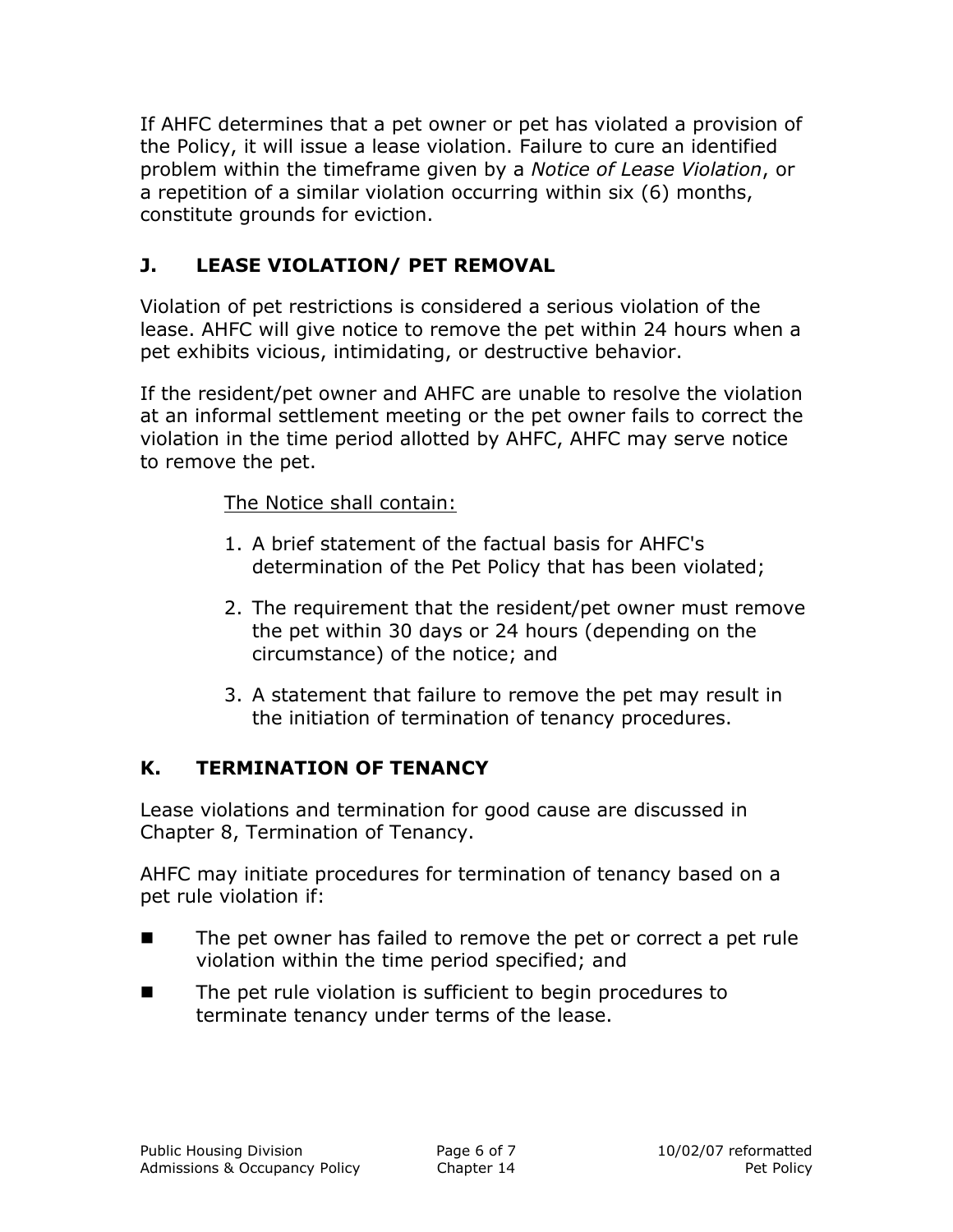If AHFC determines that a pet owner or pet has violated a provision of the Policy, it will issue a lease violation. Failure to cure an identified problem within the timeframe given by a *Notice of Lease Violation*, or a repetition of a similar violation occurring within six (6) months, constitute grounds for eviction.

## **J. LEASE VIOLATION/ PET REMOVAL**

Violation of pet restrictions is considered a serious violation of the lease. AHFC will give notice to remove the pet within 24 hours when a pet exhibits vicious, intimidating, or destructive behavior.

If the resident/pet owner and AHFC are unable to resolve the violation at an informal settlement meeting or the pet owner fails to correct the violation in the time period allotted by AHFC, AHFC may serve notice to remove the pet.

The Notice shall contain:

- 1. A brief statement of the factual basis for AHFC's determination of the Pet Policy that has been violated;
- 2. The requirement that the resident/pet owner must remove the pet within 30 days or 24 hours (depending on the circumstance) of the notice; and
- 3. A statement that failure to remove the pet may result in the initiation of termination of tenancy procedures.

### **K. TERMINATION OF TENANCY**

Lease violations and termination for good cause are discussed in Chapter 8, Termination of Tenancy.

AHFC may initiate procedures for termination of tenancy based on a pet rule violation if:

- The pet owner has failed to remove the pet or correct a pet rule violation within the time period specified; and
- The pet rule violation is sufficient to begin procedures to terminate tenancy under terms of the lease.